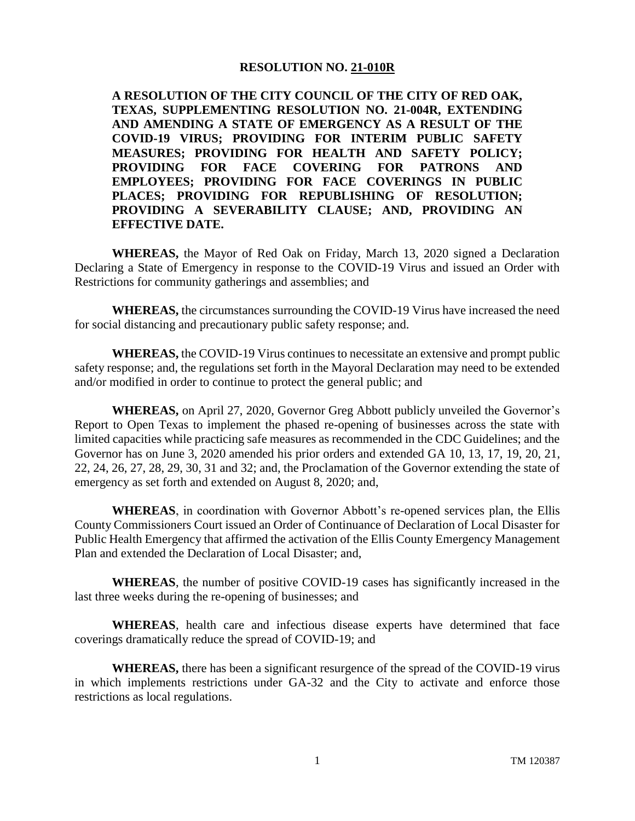## **RESOLUTION NO. 21-010R**

**A RESOLUTION OF THE CITY COUNCIL OF THE CITY OF RED OAK, TEXAS, SUPPLEMENTING RESOLUTION NO. 21-004R, EXTENDING AND AMENDING A STATE OF EMERGENCY AS A RESULT OF THE COVID-19 VIRUS; PROVIDING FOR INTERIM PUBLIC SAFETY MEASURES; PROVIDING FOR HEALTH AND SAFETY POLICY; PROVIDING FOR FACE COVERING FOR PATRONS AND EMPLOYEES; PROVIDING FOR FACE COVERINGS IN PUBLIC PLACES; PROVIDING FOR REPUBLISHING OF RESOLUTION; PROVIDING A SEVERABILITY CLAUSE; AND, PROVIDING AN EFFECTIVE DATE.**

**WHEREAS,** the Mayor of Red Oak on Friday, March 13, 2020 signed a Declaration Declaring a State of Emergency in response to the COVID-19 Virus and issued an Order with Restrictions for community gatherings and assemblies; and

**WHEREAS,** the circumstances surrounding the COVID-19 Virus have increased the need for social distancing and precautionary public safety response; and.

**WHEREAS,** the COVID-19 Virus continues to necessitate an extensive and prompt public safety response; and, the regulations set forth in the Mayoral Declaration may need to be extended and/or modified in order to continue to protect the general public; and

**WHEREAS,** on April 27, 2020, Governor Greg Abbott publicly unveiled the Governor's Report to Open Texas to implement the phased re-opening of businesses across the state with limited capacities while practicing safe measures as recommended in the CDC Guidelines; and the Governor has on June 3, 2020 amended his prior orders and extended GA 10, 13, 17, 19, 20, 21, 22, 24, 26, 27, 28, 29, 30, 31 and 32; and, the Proclamation of the Governor extending the state of emergency as set forth and extended on August 8, 2020; and,

**WHEREAS**, in coordination with Governor Abbott's re-opened services plan, the Ellis County Commissioners Court issued an Order of Continuance of Declaration of Local Disaster for Public Health Emergency that affirmed the activation of the Ellis County Emergency Management Plan and extended the Declaration of Local Disaster; and,

**WHEREAS**, the number of positive COVID-19 cases has significantly increased in the last three weeks during the re-opening of businesses; and

**WHEREAS**, health care and infectious disease experts have determined that face coverings dramatically reduce the spread of COVID-19; and

**WHEREAS,** there has been a significant resurgence of the spread of the COVID-19 virus in which implements restrictions under GA-32 and the City to activate and enforce those restrictions as local regulations.